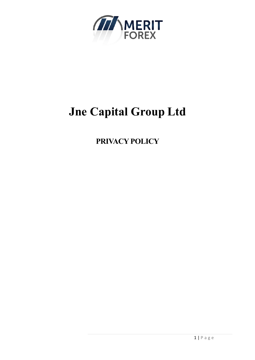

# **Jne Capital Group Ltd**

**PRIVACY POLICY**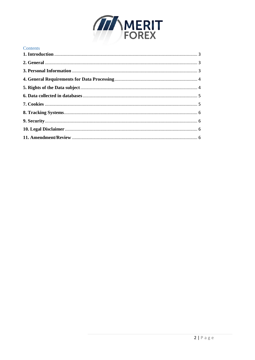

# Contents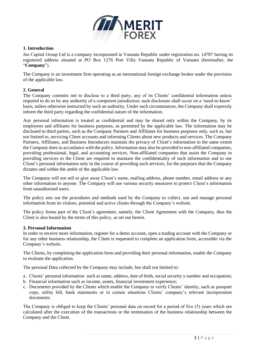

# <span id="page-2-0"></span>**1. Introduction**

Jne Capital Group Ltd is a company incorporated in Vanuatu Republic under registration no. 14787 having its registered address situated at PO Box 1276 Port Villa Vanuatu Republic of Vanuatu (hereinafter, the "**Company**").

The Company is an investment firm operating as an international foreign exchange broker under the provision of the applicable law.

# <span id="page-2-1"></span>**2. General**

The Company commits not to disclose to a third party, any of its Clients' confidential information unless required to do so by any authority of a competent jurisdiction; such disclosure shall occur on a 'need-to-know' basis, unless otherwise instructed by such an authority. Under such circumstances, the Company shall expressly inform the third party regarding the confidential nature of the information.

Any personal information is treated as confidential and may be shared only within the Company, by its employees and affiliates for business purposes, as permitted by the applicable law. The information may be disclosed to third parties, such as the Company Partners and Affiliates for business purposes only, such as, but not limited to, servicing Client accounts and informing Clients about new products and services. The Company Partners, Affiliates, and Business Introducers maintain the privacy of Client's information to the same extent the Company does in accordance with the policy. Information may also be provided to non-affiliated companies, providing professional, legal, and accounting services. Non-affiliated companies that assist the Company in providing services to the Client are required to maintain the confidentiality of such information and to use Client's personal information only in the course of providing such services, for the purposes that the Company dictates and within the ambit of the applicable law.

The Company will not sell or give away Client's name, mailing address, phone number, email address or any other information to anyone. The Company will use various security measures to protect Client's information from unauthorised users.

The policy sets out the procedures and methods used by the Company to collect, use and manage personal information from its visitors, potential and active clients through the Company's website.

The policy forms part of the Client's agreement, namely, the Client Agreement with the Company, thus the Client is also bound by the terms of this policy, as set out herein.

#### <span id="page-2-2"></span>**3. Personal Information**

In order to receive more information, register for a demo account, open a trading account with the Company or for any other business relationship, the Client is requested to complete an application form, accessible via the Company's website.

The Clients, by completing the application form and providing their personal information, enable the Company to evaluate the application.

The personal Data collected by the Company may include, but shall not limited to:

- a. Clients' personal information such as name, address, date of birth, social security y number and occupation;
- b. Financial information such as income, assets, financial investment experience;
- c. Documents provided by the Clients which enable the Company to verify Clients' identity, such as passport copy, utility bill, bank statements or in certain situations Clients' company's relevant incorporation documents.

The Company is obliged to keep the Clients' personal data on record for a period of five (5) years which are calculated after the execution of the transactions or the termination of the business relationship between the Company and the Client.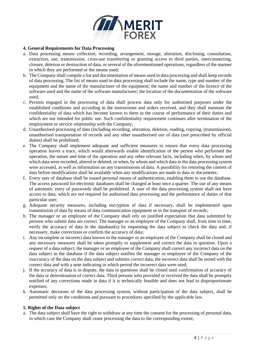

## <span id="page-3-0"></span>**4. General Requirements for Data Processing**

- a. Data processing means collection, recording, arrangement, storage, alteration, disclosing, consultation, extraction, use, transmission, cross-use transferring or granting access to third parties, interconnecting, closure, deletion or destruction of data, or several of the aforementioned operations, regardless of the manner in which they are performed or the means used;
- b. The Company shall compile a list and documentation of means used in data processing and shall keep records of data processing. The list of means used in data processing shall include the name, type and number of the equipment and the name of the manufacturer of the equipment; the name and number of the licence of the software used and the name of the software manufacturer; the location of the documentation of the software used;
- c. Persons engaged in the processing of data shall process data only for authorised purposes under the established conditions and according to the instructions and orders received, and they shall maintain the confidentiality of data which has become known to them in the course of performance of their duties and which are not intended for public use. Such confidentiality requirement continues after termination of the employment or service relationship with the Company;
- d. Unauthorised processing of data (including recording, alteration, deletion, reading, copying, (transmission), unauthorised transportation of records and any other unauthorised use of data (not prescribed by official duties) shall be prohibited;
- e. The Company shall implement adequate and sufficient measures to ensure that every data processing operation leaves a trace, which would afterwards enable identification of the person who performed the operation, the nature and time of the operation and any other relevant facts, including when, by whom and which data were recorded, altered or deleted, or when, by whom and which data in the data processing system were accessed, as well as information on any transmissions of data. A possibility for restoring the content of data before modifications shall be available when any modifications are made in data or documents;
- f. Every user of database shall be issued personal means of authentication, enabling them to use the database. The access password for electronic databases shall be changed at least once a quarter. The use of any means of automatic entry of passwords shall be prohibited. A user of the data processing system shall not have access to data, which are not required for authorised data processing and the performance of duties of that particular user;
- g. Adequate security measures, including encryption of data if necessary, shall be implemented upon transmission of data by means of data communication equipment or in the transport of records;
- h. The manager or an employee of the Company shall rely on justified expectation that data submitted by persons who submit data are correct. The manager or an employee of the Company shall, from time to time, verify the accuracy of data in the database(s) by requesting the data subject to check the data and, if necessary, make corrections or confirm the accuracy of data;
- i. Any incomplete or incorrect data known to the manager or an employee of the Company shall be closed and any necessary measures shall be taken promptly to supplement and correct the data in question. Upon a request of a data subject, the manager or an employee of the Company shall correct any incorrect data on the data subject in the database if the data subject notifies the manager or employee of the Company of the inaccuracy of the data on the data subject and submits correct data; the incorrect data shall be stored with the correct data and with a note indicating in which period the incorrect data were used;
- j. If the accuracy of data is in dispute, the data in questions shall be closed until confirmation of accuracy of the data or determination of correct data. Third persons who provided or received the data shall be promptly notified of any corrections made in data if it is technically feasible and does not lead to disproportionate expenses;
- k. Automatic decisions of the data processing system, without participation of the data subject, shall be permitted only on the conditions and pursuant to procedures specified by the applicable law.

#### <span id="page-3-1"></span>**5. Rights of the Data subject**

a. The data subject shall have the right to withdraw at any time the consent for the processing of personal data, in which case the Company shall cease processing the data to the corresponding extent;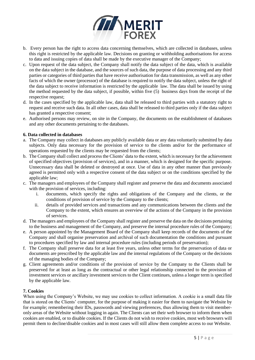

- b. Every person has the right to access data concerning themselves, which are collected in databases, unless this right is restricted by the applicable law. Decisions on granting or withholding authorisations for access to data and issuing copies of data shall be made by the executive manager of the Company;
- c. Upon request of the data subject, the Company shall notify the data subject of the data, which is available on the data subject in the database, and the sources of such data, the purpose of data processing and any third parties or categories of third parties that have receive authorisation for data transmission, as well as any other facts of which the owner (processor) of the database is required to notify the data subject, unless the right of the data subject to receive information is restricted by the applicable law. The data shall be issued by using the method requested by the data subject, if possible, within five (5) business days from the receipt of the respective request;
- d. In the cases specified by the applicable law, data shall be released to third parties with a statutory right to request and receive such data. In all other cases, data shall be released to third parties only if the data subject has granted a respective consent;
- e. Authorised persons may review, on site in the Company, the documents on the establishment of databases and any other documents pertaining to the databases.

# <span id="page-4-0"></span>**6. Data collected in databases**

- a. The Company may collect in databases any publicly available data or any data voluntarily submitted by data subjects. Only data necessary for the provision of service to the clients and/or for the performance of operations requested by the clients may be requested from the clients;
- b. The Company shall collect and process the Clients' data to the extent, which is necessary for the achievement of specified objectives (provision of services), and in a manner, which is designed for the specific purpose. Unnecessary data shall be deleted or destroyed at once. Use of data in any other manner than previously agreed is permitted only with a respective consent of the data subject or on the conditions specified by the applicable law;
- c. The managers and employees of the Company shall register and preserve the data and documents associated with the provision of services, including:
	- i. documents, which specify the rights and obligations of the Company and the clients, or the conditions of provision of service by the Company to the clients;
	- ii. details of provided services and transactions and any communications between the clients and the Company to the extent, which ensures an overview of the actions of the Company in the provision of services.
- d. The managers and employees of the Company shall register and preserve the data on the decisions pertaining to the business and management of the Company, and preserve the internal procedure rules of the Company;
- e. A person appointed by the Management Board of the Company shall keep records of the documents of the Company and shall organise preservation and archival of such documentation the conditions and pursuant to procedures specified by law and internal procedure rules (including periods of preservation);
- f. The Company shall preserve data for at least five years, unless other terms for the preservation of data or documents are prescribed by the applicable law and the internal regulations of the Company or the decisions of the managing bodies of the Company;
- g. Client agreements and/or conditions of the provision of service by the Company to the Clients shall be preserved for at least as long as the contractual or other legal relationship connected to the provision of investment services or ancillary investment services to the Client continues, unless a longer term is specified by the applicable law.

#### <span id="page-4-1"></span>**7. Cookies**

When using the Company's Website, we may use cookies to collect information. A cookie is a small data file that is stored on the Clients' computer, for the purpose of making it easier for them to navigate the Website by for example; remembering their IDs, passwords and viewing preferences, thus allowing them to visit memberonly areas of the Website without logging in again. The Clients can set their web browser to inform them when cookies are enabled, or to disable cookies. If the Clients do not wish to receive cookies, most web browsers will permit them to decline/disable cookies and in most cases will still allow them complete access to our Website.